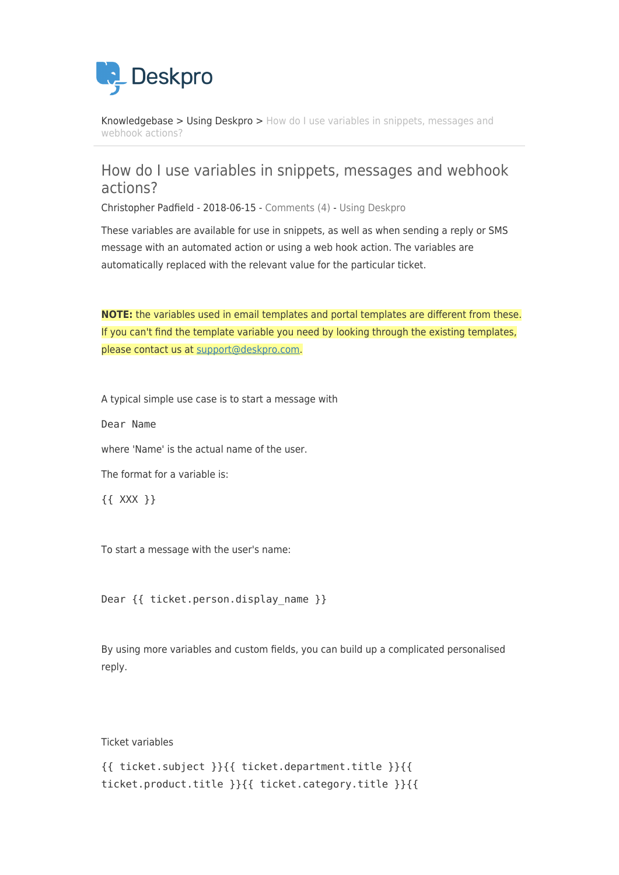

[Knowledgebase](https://support.deskpro.com/mk/kb) > [Using Deskpro](https://support.deskpro.com/mk/kb/using-deskpro) > [How do I use variables in snippets, messages and](https://support.deskpro.com/mk/kb/articles/how-do-i-use-variables-in-snippets-messages-and-webhook-actions) [webhook actions?](https://support.deskpro.com/mk/kb/articles/how-do-i-use-variables-in-snippets-messages-and-webhook-actions)

# How do I use variables in snippets, messages and webhook actions?

Christopher Padfield - 2018-06-15 - [Comments \(4\)](#page--1-0) - [Using Deskpro](https://support.deskpro.com/mk/kb/using-deskpro)

These variables are available for use in snippets, as well as when sending a reply or SMS message with an automated action or using a web hook action. The variables are automatically replaced with the relevant value for the particular ticket.

**NOTE:** the variables used in email templates and portal templates are different from these. If you can't find the template variable you need by looking through the existing templates, please contact us at [support@deskpro.com](mailto:support@deskpro.com).

A typical simple use case is to start a message with

Dear Name

where 'Name' is the actual name of the user.

The format for a variable is:

{{ XXX }}

To start a message with the user's name:

Dear {{ ticket.person.display name }}

By using more variables and custom fields, you can build up a complicated personalised reply.

Ticket variables

```
{{ ticket.subject }}{{ ticket.department.title }}{{
ticket.product.title }}{{ ticket.category.title }}{{
```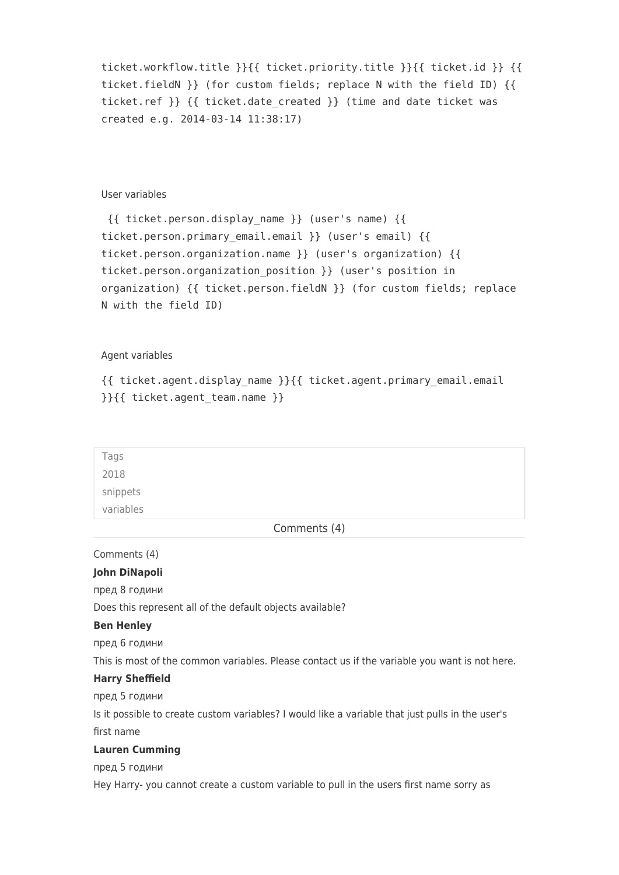```
ticket.workflow.title }}{{ ticket.priority.title }}{{ ticket.id }} {{
ticket.fieldN }} (for custom fields; replace N with the field ID) {{
ticket.ref \} {{ ticket.date created }} (time and date ticket was
created e.g. 2014-03-14 11:38:17)
```
# User variables

```
 {{ ticket.person.display_name }} (user's name) {{
ticket.person.primary email.email }} (user's email) {{
ticket.person.organization.name }} (user's organization) {{
ticket.person.organization_position }} (user's position in
organization) {{ ticket.person.fieldN }} (for custom fields; replace
N with the field ID)
```
#### Agent variables

```
{{ ticket.agent.display_name }}{{ ticket.agent.primary_email.email
}}{{ ticket.agent_team.name }}
```

| Tags      |
|-----------|
| 2018      |
| snippets  |
| variables |
|           |

Comments (4)

Comments (4)

#### **John DiNapoli**

пред 8 години

Does this represent all of the default objects available?

## **Ben Henley**

пред 6 години

This is most of the common variables. Please contact us if the variable you want is not here.

## **Harry Sheffield**

пред 5 години

Is it possible to create custom variables? I would like a variable that just pulls in the user's first name

## **Lauren Cumming**

пред 5 години

Hey Harry- you cannot create a custom variable to pull in the users first name sorry as